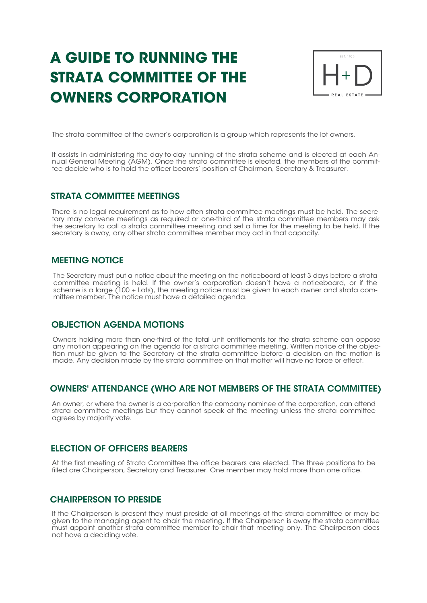# **A GUIDE TO RUNNING THE STRATA COMMITTEE OF THE OWNERS CORPORATION**



The strata committee of the owner's corporation is a group which represents the lot owners.

It assists in administering the day-to-day running of the strata scheme and is elected at each Annual General Meeting (AGM). Once the strata committee is elected, the members of the committee decide who is to hold the officer bearers' position of Chairman, Secretary & Treasurer.

#### STRATA COMMITTEE MEETINGS

There is no legal requirement as to how often strata committee meetings must be held. The secretary may convene meetings as required or one-third of the strata committee members may ask the secretary to call a strata committee meeting and set a time for the meeting to be held. If the secretary is away, any other strata committee member may act in that capacity.

#### MEETING NOTICE

The Secretary must put a notice about the meeting on the noticeboard at least 3 days before a strata committee meeting is held. If the owner's corporation doesn't have a noticeboard, or if the scheme is a large (100 + Lots), the meeting notice must be given to each owner and strata committee member. The notice must have a detailed agenda.

#### OBJECTION AGENDA MOTIONS

Owners holding more than one-third of the total unit entitlements for the strata scheme can oppose any motion appearing on the agenda for a strata committee meeting. Written notice of the objection must be given to the Secretary of the strata committee before a decision on the motion is made. Any decision made by the strata committee on that matter will have no force or effect.

#### OWNERS' ATTENDANCE (WHO ARE NOT MEMBERS OF THE STRATA COMMITTEE)

An owner, or where the owner is a corporation the company nominee of the corporation, can attend strata committee meetings but they cannot speak at the meeting unless the strata committee agrees by majority vote.

#### ELECTION OF OFFICERS BEARERS

At the first meeting of Strata Committee the office bearers are elected. The three positions to be filled are Chairperson, Secretary and Treasurer. One member may hold more than one office.

#### CHAIRPERSON TO PRESIDE

If the Chairperson is present they must preside at all meetings of the strata committee or may be given to the managing agent to chair the meeting. If the Chairperson is away the strata committee must appoint another strata committee member to chair that meeting only. The Chairperson does not have a deciding vote.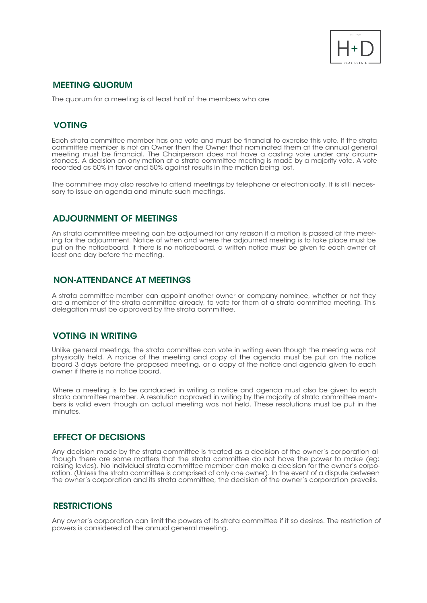

#### MEETING QUORUM

The quorum for a meeting is at least half of the members who are

# VOTING

Each strata committee member has one vote and must be financial to exercise this vote. If the strata committee member is not an Owner then the Owner that nominated them at the annual general meeting must be financial. The Chairperson does not have a casting vote under any circumstances. A decision on any motion at a strata committee meeting is made by a majority vote. A vote recorded as 50% in favor and 50% against results in the motion being lost.

The committee may also resolve to attend meetings by telephone or electronically. It is still necessary to issue an agenda and minute such meetings.

#### ADJOURNMENT OF MEETINGS

An strata committee meeting can be adjourned for any reason if a motion is passed at the meeting for the adjournment. Notice of when and where the adjourned meeting is to take place must be put on the noticeboard. If there is no noticeboard, a written notice must be given to each owner at least one day before the meeting.

#### NON-ATTENDANCE AT MEETINGS

A strata committee member can appoint another owner or company nominee, whether or not they are a member of the strata committee already, to vote for them at a strata committee meeting. This delegation must be approved by the strata committee.

#### VOTING IN WRITING

Unlike general meetings, the strata committee can vote in writing even though the meeting was not physically held. A notice of the meeting and copy of the agenda must be put on the notice board 3 days before the proposed meeting, or a copy of the notice and agenda given to each owner if there is no notice board.

Where a meeting is to be conducted in writing a notice and agenda must also be given to each strata committee member. A resolution approved in writing by the majority of strata committee members is valid even though an actual meeting was not held. These resolutions must be put in the minutes.

#### EFFECT OF DECISIONS

Any decision made by the strata committee is treated as a decision of the owner's corporation although there are some matters that the strata committee do not have the power to make (eg: raising levies). No individual strata committee member can make a decision for the owner's corporation. (Unless the strata committee is comprised of only one owner). In the event of a dispute between the owner's corporation and its strata committee, the decision of the owner's corporation prevails.

### **RESTRICTIONS**

Any owner's corporation can limit the powers of its strata committee if it so desires. The restriction of powers is considered at the annual general meeting.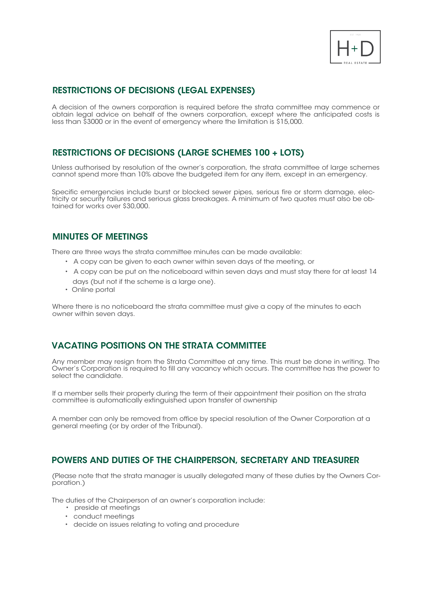

# RESTRICTIONS OF DECISIONS (LEGAL EXPENSES)

A decision of the owners corporation is required before the strata committee may commence or obtain legal advice on behalf of the owners corporation, except where the anticipated costs is less than \$3000 or in the event of emergency where the limitation is \$15,000.

## RESTRICTIONS OF DECISIONS (LARGE SCHEMES 100 + LOTS)

Unless authorised by resolution of the owner's corporation, the strata committee of large schemes cannot spend more than 10% above the budgeted item for any item, except in an emergency.

Specific emergencies include burst or blocked sewer pipes, serious fire or storm damage, electricity or security failures and serious glass breakages. A minimum of two quotes must also be obtained for works over \$30,000.

#### MINUTES OF MEETINGS

There are three ways the strata committee minutes can be made available:

- A copy can be given to each owner within seven days of the meeting, or
- A copy can be put on the noticeboard within seven days and must stay there for at least 14 days (but not if the scheme is a large one).
- Online portal

Where there is no noticeboard the strata committee must give a copy of the minutes to each owner within seven days.

# VACATING POSITIONS ON THE STRATA COMMITTEE

Any member may resign from the Strata Committee at any time. This must be done in writing. The Owner's Corporation is required to fill any vacancy which occurs. The committee has the power to select the candidate.

If a member sells their property during the term of their appointment their position on the strata committee is automatically extinguished upon transfer of ownership

A member can only be removed from office by special resolution of the Owner Corporation at a general meeting (or by order of the Tribunal).

#### POWERS AND DUTIES OF THE CHAIRPERSON, SECRETARY AND TREASURER

(Please note that the strata manager is usually delegated many of these duties by the Owners Corporation.)

The duties of the Chairperson of an owner's corporation include:

- preside at meetings
- conduct meetings
- decide on issues relating to voting and procedure